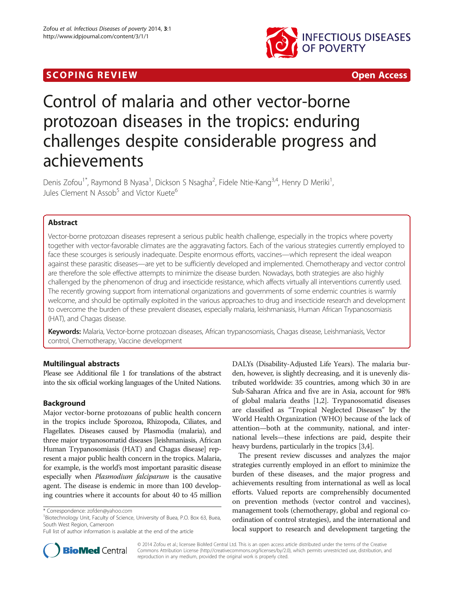# **SCOPING REVIEW CONTROL**



# Control of malaria and other vector-borne protozoan diseases in the tropics: enduring challenges despite considerable progress and achievements

Denis Zofou<sup>1\*</sup>, Raymond B Nyasa<sup>1</sup>, Dickson S Nsagha<sup>2</sup>, Fidele Ntie-Kang<sup>3,4</sup>, Henry D Meriki<sup>1</sup> , Jules Clement N Assob<sup>5</sup> and Victor Kuete<sup>6</sup>

# Abstract

Vector-borne protozoan diseases represent a serious public health challenge, especially in the tropics where poverty together with vector-favorable climates are the aggravating factors. Each of the various strategies currently employed to face these scourges is seriously inadequate. Despite enormous efforts, vaccines—which represent the ideal weapon against these parasitic diseases—are yet to be sufficiently developed and implemented. Chemotherapy and vector control are therefore the sole effective attempts to minimize the disease burden. Nowadays, both strategies are also highly challenged by the phenomenon of drug and insecticide resistance, which affects virtually all interventions currently used. The recently growing support from international organizations and governments of some endemic countries is warmly welcome, and should be optimally exploited in the various approaches to drug and insecticide research and development to overcome the burden of these prevalent diseases, especially malaria, leishmaniasis, Human African Trypanosomiasis (HAT), and Chagas disease.

Keywords: Malaria, Vector-borne protozoan diseases, African trypanosomiasis, Chagas disease, Leishmaniasis, Vector control, Chemotherapy, Vaccine development

# Multilingual abstracts

Please see Additional file [1](#page-10-0) for translations of the abstract into the six official working languages of the United Nations.

# Background

Major vector-borne protozoans of public health concern in the tropics include Sporozoa, Rhizopoda, Ciliates, and Flagellates. Diseases caused by Plasmodia (malaria), and three major trypanosomatid diseases [leishmaniasis, African Human Trypanosomiasis (HAT) and Chagas disease] represent a major public health concern in the tropics. Malaria, for example, is the world's most important parasitic disease especially when Plasmodium falciparum is the causative agent. The disease is endemic in more than 100 developing countries where it accounts for about 40 to 45 million

DALYs (Disability-Adjusted Life Years). The malaria burden, however, is slightly decreasing, and it is unevenly distributed worldwide: 35 countries, among which 30 in are Sub-Saharan Africa and five are in Asia, account for 98% of global malaria deaths [\[1,2](#page-11-0)]. Trypanosomatid diseases are classified as "Tropical Neglected Diseases" by the World Health Organization (WHO) because of the lack of attention—both at the community, national, and international levels—these infections are paid, despite their heavy burdens, particularly in the tropics [[3](#page-11-0),[4](#page-11-0)].

The present review discusses and analyzes the major strategies currently employed in an effort to minimize the burden of these diseases, and the major progress and achievements resulting from international as well as local efforts. Valued reports are comprehensibly documented on prevention methods (vector control and vaccines), management tools (chemotherapy, global and regional coordination of control strategies), and the international and local support to research and development targeting the



© 2014 Zofou et al.; licensee BioMed Central Ltd. This is an open access article distributed under the terms of the Creative Commons Attribution License [\(http://creativecommons.org/licenses/by/2.0\)](http://creativecommons.org/licenses/by/2.0), which permits unrestricted use, distribution, and reproduction in any medium, provided the original work is properly cited.

<sup>\*</sup> Correspondence: [zofden@yahoo.com](mailto:zofden@yahoo.com) <sup>1</sup>

<sup>&</sup>lt;sup>1</sup>Biotechnology Unit, Faculty of Science, University of Buea, P.O. Box 63, Buea, South West Region, Cameroon

Full list of author information is available at the end of the article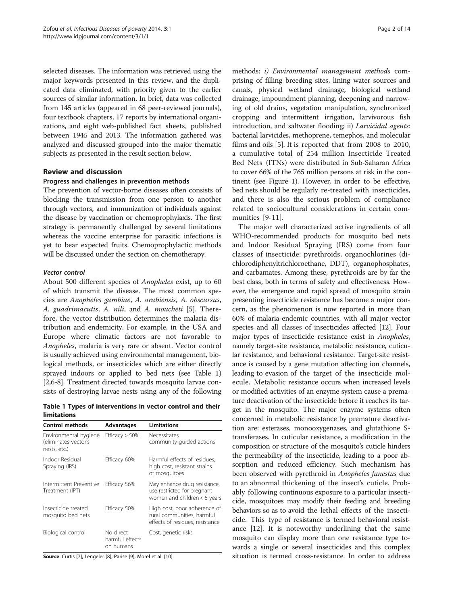selected diseases. The information was retrieved using the major keywords presented in this review, and the duplicated data eliminated, with priority given to the earlier sources of similar information. In brief, data was collected from 145 articles (appeared in 68 peer-reviewed journals), four textbook chapters, 17 reports by international organizations, and eight web-published fact sheets, published between 1945 and 2013. The information gathered was analyzed and discussed grouped into the major thematic subjects as presented in the result section below.

# Review and discussion

#### Progress and challenges in prevention methods

The prevention of vector-borne diseases often consists of blocking the transmission from one person to another through vectors, and immunization of individuals against the disease by vaccination or chemoprophylaxis. The first strategy is permanently challenged by several limitations whereas the vaccine enterprise for parasitic infections is yet to bear expected fruits. Chemoprophylactic methods will be discussed under the section on chemotherapy.

#### Vector control

About 500 different species of Anopheles exist, up to 60 of which transmit the disease. The most common species are Anopheles gambiae, A. arabiensis, A. obscursus, A. guadrimacutis, A. nili, and A. moucheti [[5\]](#page-11-0). Therefore, the vector distribution determines the malaria distribution and endemicity. For example, in the USA and Europe where climatic factors are not favorable to Anopheles, malaria is very rare or absent. Vector control is usually achieved using environmental management, biological methods, or insecticides which are either directly sprayed indoors or applied to bed nets (see Table 1) [[2,6-8\]](#page-11-0). Treatment directed towards mosquito larvae consists of destroying larvae nests using any of the following

Table 1 Types of interventions in vector control and their limitations

| <b>Control methods</b>                                        | Advantages                                | Limitations                                                                                   |
|---------------------------------------------------------------|-------------------------------------------|-----------------------------------------------------------------------------------------------|
| Environmental hygiene<br>(eliminates vector's<br>nests, etc.) | Efficacy $>$ 50%                          | Necessitates<br>community-guided actions                                                      |
| Indoor Residual<br>Spraying (IRS)                             | Efficacy 60%                              | Harmful effects of residues,<br>high cost, resistant strains<br>of mosquitoes                 |
| Intermittent Preventive<br>Treatment (IPT)                    | Efficacy 56%                              | May enhance drug resistance,<br>use restricted for pregnant<br>women and children $<$ 5 years |
| Insecticide treated<br>mosquito bed nets                      | Efficacy 50%                              | High cost, poor adherence of<br>rural communities, harmful<br>effects of residues, resistance |
| Biological control                                            | No direct<br>harmful effects<br>on humans | Cost, genetic risks                                                                           |

Source: Curtis [\[7\]](#page-11-0), Lengeler [[8](#page-11-0)], Parise [\[9\]](#page-11-0), Morel et al. [\[10](#page-11-0)].

methods: i) Environmental management methods comprising of filling breeding sites, lining water sources and canals, physical wetland drainage, biological wetland drainage, impoundment planning, deepening and narrowing of old drains, vegetation manipulation, synchronized cropping and intermittent irrigation, larvivorous fish introduction, and saltwater flooding; ii) Larvicidal agents: bacterial larvicides, methoprene, temephos, and molecular films and oils [[5\]](#page-11-0). It is reported that from 2008 to 2010, a cumulative total of 254 million Insecticide Treated Bed Nets (ITNs) were distributed in Sub-Saharan Africa to cover 66% of the 765 million persons at risk in the continent (see Figure [1](#page-2-0)). However, in order to be effective, bed nets should be regularly re-treated with insecticides, and there is also the serious problem of compliance related to sociocultural considerations in certain communities [[9](#page-11-0)-[11\]](#page-11-0).

The major well characterized active ingredients of all WHO-recommended products for mosquito bed nets and Indoor Residual Spraying (IRS) come from four classes of insecticide: pyrethroids, organochlorines (dichlorodiphenyltrichloroethane, DDT), organophosphates, and carbamates. Among these, pyrethroids are by far the best class, both in terms of safety and effectiveness. However, the emergence and rapid spread of mosquito strain presenting insecticide resistance has become a major concern, as the phenomenon is now reported in more than 60% of malaria-endemic countries, with all major vector species and all classes of insecticides affected [[12](#page-11-0)]. Four major types of insecticide resistance exist in Anopheles, namely target-site resistance, metabolic resistance, cuticular resistance, and behavioral resistance. Target-site resistance is caused by a gene mutation affecting ion channels, leading to evasion of the target of the insecticide molecule. Metabolic resistance occurs when increased levels or modified activities of an enzyme system cause a premature deactivation of the insecticide before it reaches its target in the mosquito. The major enzyme systems often concerned in metabolic resistance by premature deactivation are: esterases, monooxygenases, and glutathione Stransferases. In cuticular resistance, a modification in the composition or structure of the mosquito's cuticle hinders the permeability of the insecticide, leading to a poor absorption and reduced efficiency. Such mechanism has been observed with pyrethroid in *Anopheles funestus* due to an abnormal thickening of the insect's cuticle. Probably following continuous exposure to a particular insecticide, mosquitoes may modify their feeding and breeding behaviors so as to avoid the lethal effects of the insecticide. This type of resistance is termed behavioral resistance [[12](#page-11-0)]. It is noteworthy underlining that the same mosquito can display more than one resistance type towards a single or several insecticides and this complex situation is termed cross-resistance. In order to address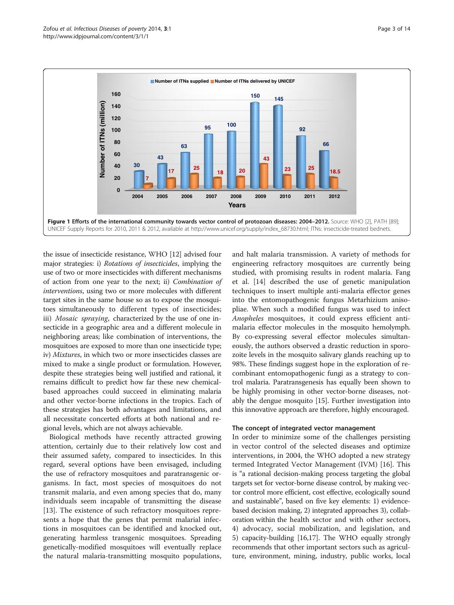<span id="page-2-0"></span>

the issue of insecticide resistance, WHO [[12](#page-11-0)] advised four major strategies: i) Rotations of insecticides, implying the use of two or more insecticides with different mechanisms of action from one year to the next; ii) Combination of interventions, using two or more molecules with different target sites in the same house so as to expose the mosquitoes simultaneously to different types of insecticides; iii) Mosaic spraying, characterized by the use of one insecticide in a geographic area and a different molecule in neighboring areas; like combination of interventions, the mosquitoes are exposed to more than one insecticide type; iv) Mixtures, in which two or more insecticides classes are mixed to make a single product or formulation. However, despite these strategies being well justified and rational, it remains difficult to predict how far these new chemicalbased approaches could succeed in eliminating malaria and other vector-borne infections in the tropics. Each of these strategies has both advantages and limitations, and all necessitate concerted efforts at both national and regional levels, which are not always achievable.

Biological methods have recently attracted growing attention, certainly due to their relatively low cost and their assumed safety, compared to insecticides. In this regard, several options have been envisaged, including the use of refractory mosquitoes and paratransgenic organisms. In fact, most species of mosquitoes do not transmit malaria, and even among species that do, many individuals seem incapable of transmitting the disease [[13\]](#page-11-0). The existence of such refractory mosquitoes represents a hope that the genes that permit malarial infections in mosquitoes can be identified and knocked out, generating harmless transgenic mosquitoes. Spreading genetically-modified mosquitoes will eventually replace the natural malaria-transmitting mosquito populations,

and halt malaria transmission. A variety of methods for engineering refractory mosquitoes are currently being studied, with promising results in rodent malaria. Fang et al. [[14\]](#page-11-0) described the use of genetic manipulation techniques to insert multiple anti-malaria effector genes into the entomopathogenic fungus Metarhizium anisopliae. When such a modified fungus was used to infect Anopheles mosquitoes, it could express efficient antimalaria effector molecules in the mosquito hemolymph. By co-expressing several effector molecules simultaneously, the authors observed a drastic reduction in sporozoite levels in the mosquito salivary glands reaching up to 98%. These findings suggest hope in the exploration of recombinant entomopathogenic fungi as a strategy to control malaria. Paratransgenesis has equally been shown to be highly promising in other vector-borne diseases, notably the dengue mosquito [[15\]](#page-11-0). Further investigation into this innovative approach are therefore, highly encouraged.

#### The concept of integrated vector management

In order to minimize some of the challenges persisting in vector control of the selected diseases and optimize interventions, in 2004, the WHO adopted a new strategy termed Integrated Vector Management (IVM) [[16\]](#page-11-0). This is "a rational decision-making process targeting the global targets set for vector-borne disease control, by making vector control more efficient, cost effective, ecologically sound and sustainable", based on five key elements: 1) evidencebased decision making, 2) integrated approaches 3), collaboration within the health sector and with other sectors, 4) advocacy, social mobilization, and legislation, and 5) capacity-building [\[16,17\]](#page-11-0). The WHO equally strongly recommends that other important sectors such as agriculture, environment, mining, industry, public works, local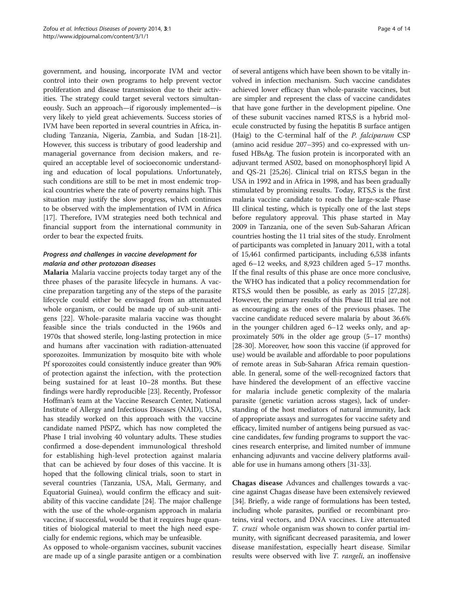government, and housing, incorporate IVM and vector control into their own programs to help prevent vector proliferation and disease transmission due to their activities. The strategy could target several vectors simultaneously. Such an approach—if rigorously implemented—is very likely to yield great achievements. Success stories of IVM have been reported in several countries in Africa, including Tanzania, Nigeria, Zambia, and Sudan [[18](#page-11-0)-[21](#page-11-0)]. However, this success is tributary of good leadership and managerial governance from decision makers, and required an acceptable level of socioeconomic understanding and education of local populations. Unfortunately, such conditions are still to be met in most endemic tropical countries where the rate of poverty remains high. This situation may justify the slow progress, which continues to be observed with the implementation of IVM in Africa [[17](#page-11-0)]. Therefore, IVM strategies need both technical and financial support from the international community in order to bear the expected fruits.

# Progress and challenges in vaccine development for malaria and other protozoan diseases

Malaria Malaria vaccine projects today target any of the three phases of the parasite lifecycle in humans. A vaccine preparation targeting any of the steps of the parasite lifecycle could either be envisaged from an attenuated whole organism, or could be made up of sub-unit antigens [[22\]](#page-11-0). Whole-parasite malaria vaccine was thought feasible since the trials conducted in the 1960s and 1970s that showed sterile, long-lasting protection in mice and humans after vaccination with radiation-attenuated sporozoites. Immunization by mosquito bite with whole Pf sporozoites could consistently induce greater than 90% of protection against the infection, with the protection being sustained for at least 10–28 months. But these findings were hardly reproducible [[23\]](#page-11-0). Recently, Professor Hoffman's team at the Vaccine Research Center, National Institute of Allergy and Infectious Diseases (NAID), USA, has steadily worked on this approach with the vaccine candidate named PfSPZ, which has now completed the Phase I trial involving 40 voluntary adults. These studies confirmed a dose-dependent immunological threshold for establishing high-level protection against malaria that can be achieved by four doses of this vaccine. It is hoped that the following clinical trials, soon to start in several countries (Tanzania, USA, Mali, Germany, and Equatorial Guinea), would confirm the efficacy and suitability of this vaccine candidate [[24](#page-11-0)]. The major challenge with the use of the whole-organism approach in malaria vaccine, if successful, would be that it requires huge quantities of biological material to meet the high need especially for endemic regions, which may be unfeasible.

As opposed to whole-organism vaccines, subunit vaccines are made up of a single parasite antigen or a combination

of several antigens which have been shown to be vitally involved in infection mechanism. Such vaccine candidates achieved lower efficacy than whole-parasite vaccines, but are simpler and represent the class of vaccine candidates that have gone further in the development pipeline. One of these subunit vaccines named RTS,S is a hybrid molecule constructed by fusing the hepatitis B surface antigen (Haig) to the C-terminal half of the P. falciparum CSP (amino acid residue 207–395) and co-expressed with unfused HBsAg. The fusion protein is incorporated with an adjuvant termed AS02, based on monophosphoryl lipid A and QS-21 [\[25,26](#page-11-0)]. Clinical trial on RTS,S began in the USA in 1992 and in Africa in 1998, and has been gradually stimulated by promising results. Today, RTS,S is the first malaria vaccine candidate to reach the large-scale Phase III clinical testing, which is typically one of the last steps before regulatory approval. This phase started in May 2009 in Tanzania, one of the seven Sub-Saharan African countries hosting the 11 trial sites of the study. Enrolment of participants was completed in January 2011, with a total of 15,461 confirmed participants, including 6,538 infants aged 6–12 weeks, and 8,923 children aged 5–17 months. If the final results of this phase are once more conclusive, the WHO has indicated that a policy recommendation for RTS,S would then be possible, as early as 2015 [\[27,28](#page-11-0)]. However, the primary results of this Phase III trial are not as encouraging as the ones of the previous phases. The vaccine candidate reduced severe malaria by about 36.6% in the younger children aged 6–12 weeks only, and approximately 50% in the older age group (5–17 months) [[28](#page-11-0)-[30\]](#page-11-0). Moreover, how soon this vaccine (if approved for use) would be available and affordable to poor populations of remote areas in Sub-Saharan Africa remain questionable. In general, some of the well-recognized factors that have hindered the development of an effective vaccine for malaria include genetic complexity of the malaria parasite (genetic variation across stages), lack of understanding of the host mediators of natural immunity, lack of appropriate assays and surrogates for vaccine safety and efficacy, limited number of antigens being pursued as vaccine candidates, few funding programs to support the vaccines research enterprise, and limited number of immune enhancing adjuvants and vaccine delivery platforms available for use in humans among others [\[31-33\]](#page-11-0).

Chagas disease Advances and challenges towards a vaccine against Chagas disease have been extensively reviewed [[34](#page-11-0)]. Briefly, a wide range of formulations has been tested, including whole parasites, purified or recombinant proteins, viral vectors, and DNA vaccines. Live attenuated T. cruzi whole organism was shown to confer partial immunity, with significant decreased parasitemia, and lower disease manifestation, especially heart disease. Similar results were observed with live T. rangeli, an inoffensive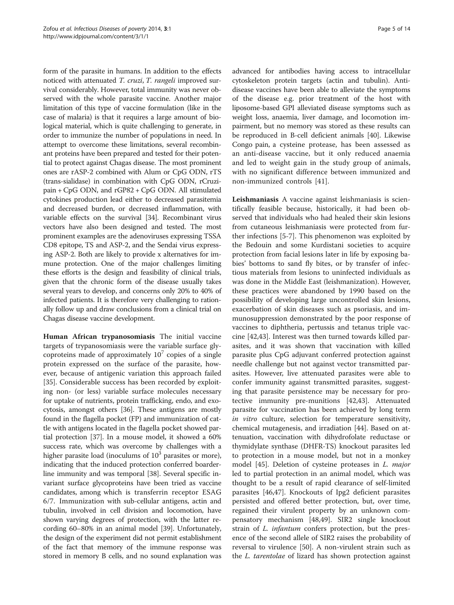form of the parasite in humans. In addition to the effects noticed with attenuated T. cruzi, T. rangeli improved survival considerably. However, total immunity was never observed with the whole parasite vaccine. Another major limitation of this type of vaccine formulation (like in the case of malaria) is that it requires a large amount of biological material, which is quite challenging to generate, in order to immunize the number of populations in need. In attempt to overcome these limitations, several recombinant proteins have been prepared and tested for their potential to protect against Chagas disease. The most prominent ones are rASP-2 combined with Alum or CpG ODN, rTS (trans-sialidase) in combination with CpG ODN, rCruzipain + CpG ODN, and rGP82 + CpG ODN. All stimulated cytokines production lead either to decreased parasitemia and decreased burden, or decreased inflammation, with variable effects on the survival [[34](#page-11-0)]. Recombinant virus vectors have also been designed and tested. The most prominent examples are the adenoviruses expressing TSSA CD8 epitope, TS and ASP-2, and the Sendai virus expressing ASP-2. Both are likely to provide x alternatives for immune protection. One of the major challenges limiting these efforts is the design and feasibility of clinical trials, given that the chronic form of the disease usually takes several years to develop, and concerns only 20% to 40% of infected patients. It is therefore very challenging to rationally follow up and draw conclusions from a clinical trial on Chagas disease vaccine development.

Human African trypanosomiasis The initial vaccine targets of trypanosomiasis were the variable surface glycoproteins made of approximately  $10<sup>7</sup>$  copies of a single protein expressed on the surface of the parasite, however, because of antigenic variation this approach failed [[35\]](#page-11-0). Considerable success has been recorded by exploiting non- (or less) variable surface molecules necessary for uptake of nutrients, protein trafficking, endo, and exocytosis, amongst others [\[36](#page-11-0)]. These antigens are mostly found in the flagella pocket (FP) and immunization of cattle with antigens located in the flagella pocket showed partial protection [\[37](#page-11-0)]. In a mouse model, it showed a 60% success rate, which was overcome by challenges with a higher parasite load (inoculums of  $10<sup>3</sup>$  parasites or more), indicating that the induced protection conferred boarderline immunity and was temporal [\[38\]](#page-12-0). Several specific invariant surface glycoproteins have been tried as vaccine candidates, among which is transferrin receptor ESAG 6/7. Immunization with sub-cellular antigens, actin and tubulin, involved in cell division and locomotion, have shown varying degrees of protection, with the latter recording 60–80% in an animal model [\[39\]](#page-12-0). Unfortunately, the design of the experiment did not permit establishment of the fact that memory of the immune response was stored in memory B cells, and no sound explanation was

advanced for antibodies having access to intracellular cytoskeleton protein targets (actin and tubulin). Antidisease vaccines have been able to alleviate the symptoms of the disease e.g. prior treatment of the host with liposome-based GPI alleviated disease symptoms such as weight loss, anaemia, liver damage, and locomotion impairment, but no memory was stored as these results can be reproduced in B-cell deficient animals [\[40\]](#page-12-0). Likewise Congo pain, a cysteine protease, has been assessed as an anti-disease vaccine, but it only reduced anaemia and led to weight gain in the study group of animals, with no significant difference between immunized and non-immunized controls [[41\]](#page-12-0).

Leishmaniasis A vaccine against leishmaniasis is scientifically feasible because, historically, it had been observed that individuals who had healed their skin lesions from cutaneous leishmaniasis were protected from further infections [\[5](#page-11-0)-[7\]](#page-11-0). This phenomenon was exploited by the Bedouin and some Kurdistani societies to acquire protection from facial lesions later in life by exposing babies' bottoms to sand fly bites, or by transfer of infectious materials from lesions to uninfected individuals as was done in the Middle East (leishmanization). However, these practices were abandoned by 1990 based on the possibility of developing large uncontrolled skin lesions, exacerbation of skin diseases such as psoriasis, and immunosuppression demonstrated by the poor response of vaccines to diphtheria, pertussis and tetanus triple vaccine [[42](#page-12-0),[43](#page-12-0)]. Interest was then turned towards killed parasites, and it was shown that vaccination with killed parasite plus CpG adjuvant conferred protection against needle challenge but not against vector transmitted parasites. However, live attenuated parasites were able to confer immunity against transmitted parasites, suggesting that parasite persistence may be necessary for protective immunity pre-munitions [[42](#page-12-0),[43](#page-12-0)]. Attenuated parasite for vaccination has been achieved by long term in vitro culture, selection for temperature sensitivity, chemical mutagenesis, and irradiation [[44\]](#page-12-0). Based on attenuation, vaccination with dihydrofolate reductase or thymidylate synthase (DHFR-TS) knockout parasites led to protection in a mouse model, but not in a monkey model [[45\]](#page-12-0). Deletion of cysteine proteases in L. major led to partial protection in an animal model, which was thought to be a result of rapid clearance of self-limited parasites [[46,47\]](#page-12-0). Knockouts of Ipg2 deficient parasites persisted and offered better protection, but, over time, regained their virulent property by an unknown compensatory mechanism [[48,49](#page-12-0)]. SIR2 single knockout strain of *L. infantum* confers protection, but the presence of the second allele of SIR2 raises the probability of reversal to virulence [\[50](#page-12-0)]. A non-virulent strain such as the L. tarentolae of lizard has shown protection against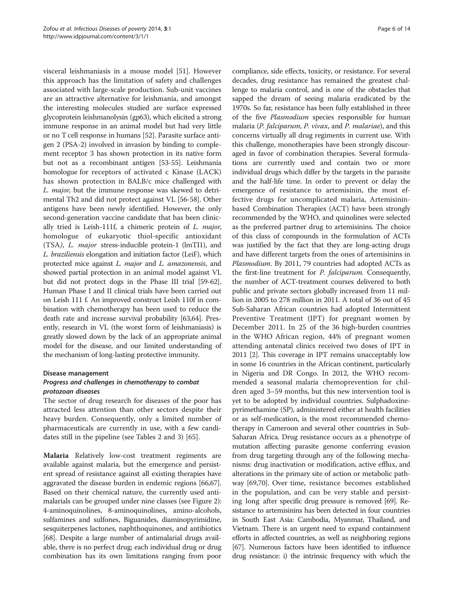visceral leishmaniasis in a mouse model [\[51](#page-12-0)]. However this approach has the limitation of safety and challenges associated with large-scale production. Sub-unit vaccines are an attractive alternative for leishmania, and amongst the interesting molecules studied are surface expressed glycoprotein leishmanolysin (gp63), which elicited a strong immune response in an animal model but had very little or no T cell response in humans [\[52\]](#page-12-0). Parasite surface antigen 2 (PSA-2) involved in invasion by binding to complement receptor 3 has shown protection in its native form but not as a recombinant antigen [[53](#page-12-0)-[55](#page-12-0)]. Leishmania homologue for receptors of activated c Kinase (LACK) has shown protection in BALB/c mice challenged with L. major, but the immune response was skewed to detrimental Th2 and did not protect against VL [[56-58\]](#page-12-0). Other antigens have been newly identified. However, the only second-generation vaccine candidate that has been clinically tried is Leish-111f, a chimeric protein of L. major, homologue of eukaryotic thiol-specific antioxidant (TSA), L. major stress-inducible protein-1 (lmTI1), and L. braziliensis elongation and initiation factor (LeiF), which protected mice against L. major and L. amazonensis, and showed partial protection in an animal model against VL but did not protect dogs in the Phase III trial [[59-62](#page-12-0)]. Human Phase I and II clinical trials have been carried out on Leish 111 f. An improved construct Leish 110f in combination with chemotherapy has been used to reduce the death rate and increase survival probability [\[63,64](#page-12-0)]. Presently, research in VL (the worst form of leishmaniasis) is greatly slowed down by the lack of an appropriate animal model for the disease, and our limited understanding of the mechanism of long-lasting protective immunity.

#### Disease management

# Progress and challenges in chemotherapy to combat protozoan diseases

The sector of drug research for diseases of the poor has attracted less attention than other sectors despite their heavy burden. Consequently, only a limited number of pharmaceuticals are currently in use, with a few candidates still in the pipeline (see Tables [2](#page-6-0) and [3\)](#page-7-0) [\[65\]](#page-12-0).

Malaria Relatively low-cost treatment regiments are available against malaria, but the emergence and persistent spread of resistance against all existing therapies have aggravated the disease burden in endemic regions [\[66,67](#page-12-0)]. Based on their chemical nature, the currently used antimalarials can be grouped under nine classes (see Figure [2](#page-7-0)): 4-aminoquinolines, 8-aminoquinolines, amino-alcohols, sulfamines and sulfones, Biguanides, diaminopyrimidine, sesquiterpenes lactones, naphthoquinones, and antibiotics [[68](#page-12-0)]. Despite a large number of antimalarial drugs available, there is no perfect drug; each individual drug or drug combination has its own limitations ranging from poor

compliance, side effects, toxicity, or resistance. For several decades, drug resistance has remained the greatest challenge to malaria control, and is one of the obstacles that sapped the dream of seeing malaria eradicated by the 1970s. So far, resistance has been fully established in three of the five Plasmodium species responsible for human malaria (P. falciparum, P. vivax, and P. malariae), and this concerns virtually all drug regiments in current use. With this challenge, monotherapies have been strongly discouraged in favor of combination therapies. Several formulations are currently used and contain two or more individual drugs which differ by the targets in the parasite and the half-life time. In order to prevent or delay the emergence of resistance to artemisinin, the most effective drugs for uncomplicated malaria, Artemisininbased Combination Therapies (ACT) have been strongly recommended by the WHO, and quinolines were selected as the preferred partner drug to artemisinins. The choice of this class of compounds in the formulation of ACTs was justified by the fact that they are long-acting drugs and have different targets from the ones of artemisinins in Plasmodium. By 2011, 79 countries had adopted ACTs as the first-line treatment for *P. falciparum*. Consequently, the number of ACT-treatment courses delivered to both public and private sectors globally increased from 11 million in 2005 to 278 million in 2011. A total of 36 out of 45 Sub-Saharan African countries had adopted Intermittent Preventive Treatment (IPT) for pregnant women by December 2011. In 25 of the 36 high-burden countries in the WHO African region, 44% of pregnant women attending antenatal clinics received two doses of IPT in 2011 [[2](#page-11-0)]. This coverage in IPT remains unacceptably low in some 16 countries in the African continent, particularly in Nigeria and DR Congo. In 2012, the WHO recommended a seasonal malaria chemoprevention for children aged 3–59 months, but this new intervention tool is yet to be adopted by individual countries. Sulphadoxinepyrimethamine (SP), administered either at health facilities or as self-medication, is the most recommended chemotherapy in Cameroon and several other countries in Sub-Saharan Africa. Drug resistance occurs as a phenotype of mutation affecting parasite genome conferring evasion from drug targeting through any of the following mechanisms: drug inactivation or modification, active efflux, and alterations in the primary site of action or metabolic pathway [\[69,70](#page-12-0)]. Over time, resistance becomes established in the population, and can be very stable and persisting long after specific drug pressure is removed [\[69\]](#page-12-0). Resistance to artemisinins has been detected in four countries in South East Asia: Cambodia, Myanmar, Thailand, and Vietnam. There is an urgent need to expand containment efforts in affected countries, as well as neighboring regions [[67](#page-12-0)]. Numerous factors have been identified to influence drug resistance: i) the intrinsic frequency with which the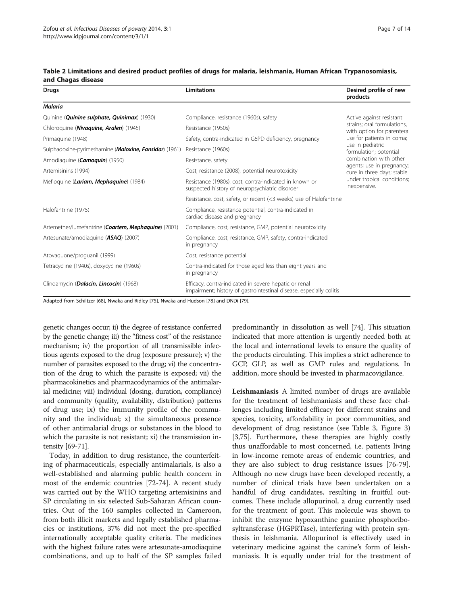| Drugs                                                           | <b>Limitations</b>                                                                                                           | Desired profile of new<br>products                                      |  |
|-----------------------------------------------------------------|------------------------------------------------------------------------------------------------------------------------------|-------------------------------------------------------------------------|--|
| <b>Malaria</b>                                                  |                                                                                                                              |                                                                         |  |
| Quinine ( <i>Quinine sulphate, Quinimax</i> ) (1930)            | Compliance, resistance (1960s), safety                                                                                       | Active against resistant                                                |  |
| Chloroquine ( <i>Nivaquine</i> , <i>Aralen</i> ) (1945)         | Resistance (1950s)                                                                                                           | strains; oral formulations,<br>with option for parenteral               |  |
| Primaguine (1948)                                               | Safety, contra-indicated in G6PD deficiency, pregnancy                                                                       | use for patients in coma;<br>use in pediatric<br>formulation; potential |  |
| Sulphadoxine-pyrimethamine ( <i>Maloxine</i> , Fansidar) (1961) | Resistance (1960s)                                                                                                           |                                                                         |  |
| Amodiaquine (Camoquin) (1950)                                   | Resistance, safety                                                                                                           | combination with other                                                  |  |
| Artemisinins (1994)                                             | Cost, resistance (2008), potential neurotoxicity                                                                             | agents; use in pregnancy;<br>cure in three days; stable                 |  |
| Mefloquine (Lariam, Mephaquine) (1984)                          | Resistance (1980s), cost, contra-indicated in known or<br>suspected history of neuropsychiatric disorder                     | under tropical conditions;<br>inexpensive.                              |  |
|                                                                 | Resistance, cost, safety, or recent (<3 weeks) use of Halofantrine                                                           |                                                                         |  |
| Halofantrine (1975)                                             | Compliance, resistance potential, contra-indicated in<br>cardiac disease and pregnancy                                       |                                                                         |  |
| Artemether/lumefantrine (Coartem, Mephaquine) (2001)            | Compliance, cost, resistance, GMP, potential neurotoxicity                                                                   |                                                                         |  |
| Artesunate/amodiaguine (ASAQ) (2007)                            | Compliance, cost, resistance, GMP, safety, contra-indicated<br>in pregnancy                                                  |                                                                         |  |
| Atovaguone/proguanil (1999)                                     | Cost, resistance potential                                                                                                   |                                                                         |  |
| Tetracycline (1940s), doxycycline (1960s)                       | Contra-indicated for those aged less than eight years and<br>in pregnancy                                                    |                                                                         |  |
| Clindamycin (Dalacin, Lincocin) (1968)                          | Efficacy, contra-indicated in severe hepatic or renal<br>impairment; history of gastrointestinal disease, especially colitis |                                                                         |  |

#### <span id="page-6-0"></span>Table 2 Limitations and desired product profiles of drugs for malaria, leishmania, Human African Trypanosomiasis, and Chagas disease

Adapted from Schiltzer [[68\]](#page-12-0), Nwaka and Ridley [\[75](#page-12-0)], Nwaka and Hudson [[78\]](#page-12-0) and DNDi [[79\]](#page-12-0).

genetic changes occur; ii) the degree of resistance conferred by the genetic change; iii) the "fitness cost" of the resistance mechanism; iv) the proportion of all transmissible infectious agents exposed to the drug (exposure pressure); v) the number of parasites exposed to the drug; vi) the concentration of the drug to which the parasite is exposed; vii) the pharmacokinetics and pharmacodynamics of the antimalarial medicine; viii) individual (dosing, duration, compliance) and community (quality, availability, distribution) patterns of drug use; ix) the immunity profile of the community and the individual; x) the simultaneous presence of other antimalarial drugs or substances in the blood to which the parasite is not resistant; xi) the transmission intensity [[69](#page-12-0)-[71](#page-12-0)].

Today, in addition to drug resistance, the counterfeiting of pharmaceuticals, especially antimalarials, is also a well-established and alarming public health concern in most of the endemic countries [[72-74\]](#page-12-0). A recent study was carried out by the WHO targeting artemisinins and SP circulating in six selected Sub-Saharan African countries. Out of the 160 samples collected in Cameroon, from both illicit markets and legally established pharmacies or institutions, 37% did not meet the pre-specified internationally acceptable quality criteria. The medicines with the highest failure rates were artesunate-amodiaquine combinations, and up to half of the SP samples failed predominantly in dissolution as well [\[74\]](#page-12-0). This situation indicated that more attention is urgently needed both at the local and international levels to ensure the quality of the products circulating. This implies a strict adherence to GCP, GLP, as well as GMP rules and regulations. In addition, more should be invested in pharmacovigilance.

Leishmaniasis A limited number of drugs are available for the treatment of leishmaniasis and these face challenges including limited efficacy for different strains and species, toxicity, affordability in poor communities, and development of drug resistance (see Table [3,](#page-7-0) Figure [3](#page-8-0)) [[3,](#page-11-0)[75\]](#page-12-0). Furthermore, these therapies are highly costly thus unaffordable to most concerned, i.e. patients living in low-income remote areas of endemic countries, and they are also subject to drug resistance issues [\[76-79](#page-12-0)]. Although no new drugs have been developed recently, a number of clinical trials have been undertaken on a handful of drug candidates, resulting in fruitful outcomes. These include allopurinol, a drug currently used for the treatment of gout. This molecule was shown to inhibit the enzyme hypoxanthine guanine phosphoribosyltransferase (HGPRTase), interfering with protein synthesis in leishmania. Allopurinol is effectively used in veterinary medicine against the canine's form of leishmaniasis. It is equally under trial for the treatment of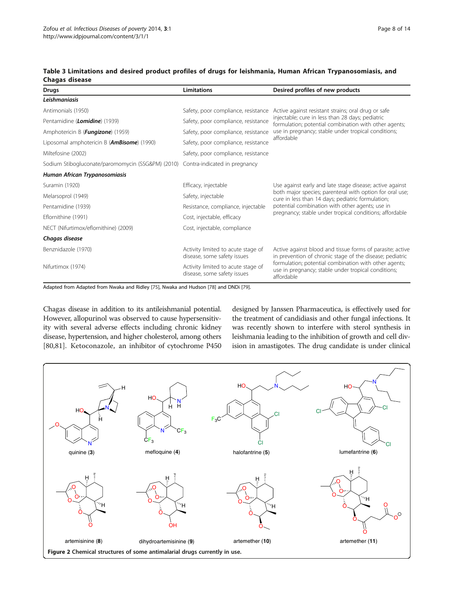| <b>Drugs</b>                                                                    | <b>Limitations</b>                                                | Desired profiles of new products                                                                                                                                                                                                                    |  |
|---------------------------------------------------------------------------------|-------------------------------------------------------------------|-----------------------------------------------------------------------------------------------------------------------------------------------------------------------------------------------------------------------------------------------------|--|
| Leishmaniasis                                                                   |                                                                   |                                                                                                                                                                                                                                                     |  |
| Antimonials (1950)                                                              | Safety, poor compliance, resistance                               | Active against resistant strains; oral drug or safe<br>injectable; cure in less than 28 days; pediatric<br>formulation; potential combination with other agents;<br>use in pregnancy; stable under tropical conditions;<br>affordable               |  |
| Pentamidine ( <i>Lomidine</i> ) (1939)                                          | Safety, poor compliance, resistance                               |                                                                                                                                                                                                                                                     |  |
| Amphotericin B (Fungizone) (1959)                                               | Safety, poor compliance, resistance                               |                                                                                                                                                                                                                                                     |  |
| Liposomal amphotericin B ( <b>AmBisome</b> ) (1990)                             | Safety, poor compliance, resistance                               |                                                                                                                                                                                                                                                     |  |
| Miltefosine (2002)                                                              | Safety, poor compliance, resistance                               |                                                                                                                                                                                                                                                     |  |
| Sodium Stibogluconate/paromomycin (SSG&PM) (2010) Contra-indicated in pregnancy |                                                                   |                                                                                                                                                                                                                                                     |  |
| Human African Trypanosomiasis                                                   |                                                                   |                                                                                                                                                                                                                                                     |  |
| Suramin (1920)                                                                  | Efficacy, injectable                                              | Use against early and late stage disease; active against<br>both major species; parenteral with option for oral use;<br>cure in less than 14 days; pediatric formulation;                                                                           |  |
| Melarsoprol (1949)                                                              | Safety, injectable                                                |                                                                                                                                                                                                                                                     |  |
| Pentamidine (1939)                                                              | Resistance, compliance, injectable                                | potential combination with other agents; use in<br>pregnancy; stable under tropical conditions; affordable                                                                                                                                          |  |
| Eflornithine (1991)                                                             | Cost, injectable, efficacy                                        |                                                                                                                                                                                                                                                     |  |
| NECT (Nifurtimox/eflornithine) (2009)                                           | Cost, injectable, compliance                                      |                                                                                                                                                                                                                                                     |  |
| Chagas disease                                                                  |                                                                   |                                                                                                                                                                                                                                                     |  |
| Benznidazole (1970)                                                             | Activity limited to acute stage of<br>disease, some safety issues | Active against blood and tissue forms of parasite; active<br>in prevention of chronic stage of the disease; pediatric<br>formulation; potential combination with other agents;<br>use in pregnancy; stable under tropical conditions;<br>affordable |  |
| Nifurtimox (1974)                                                               | Activity limited to acute stage of<br>disease, some safety issues |                                                                                                                                                                                                                                                     |  |

#### <span id="page-7-0"></span>Table 3 Limitations and desired product profiles of drugs for leishmania, Human African Trypanosomiasis, and Chagas disease

Adapted from Adapted from Nwaka and Ridley [\[75](#page-12-0)], Nwaka and Hudson [[78\]](#page-12-0) and DNDi [[79\]](#page-12-0).

Chagas disease in addition to its antileishmanial potential. However, allopurinol was observed to cause hypersensitivity with several adverse effects including chronic kidney disease, hypertension, and higher cholesterol, among others [[80,81](#page-12-0)]. Ketoconazole, an inhibitor of cytochrome P450 designed by Janssen Pharmaceutica, is effectively used for the treatment of candidiasis and other fungal infections. It was recently shown to interfere with sterol synthesis in leishmania leading to the inhibition of growth and cell division in amastigotes. The drug candidate is under clinical

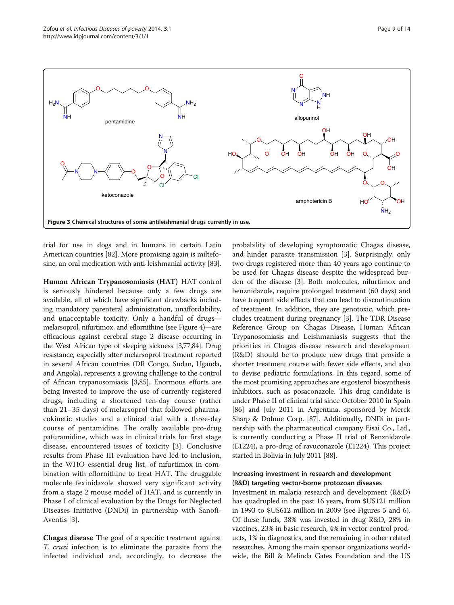<span id="page-8-0"></span>

trial for use in dogs and in humans in certain Latin American countries [\[82\]](#page-12-0). More promising again is miltefosine, an oral medication with anti-leishmanial activity [\[83](#page-12-0)].

Human African Trypanosomiasis (HAT) HAT control is seriously hindered because only a few drugs are available, all of which have significant drawbacks including mandatory parenteral administration, unaffordability, and unacceptable toxicity. Only a handful of drugs melarsoprol, nifurtimox, and eflornithine (see Figure [4](#page-9-0))—are efficacious against cerebral stage 2 disease occurring in the West African type of sleeping sickness [\[3,](#page-11-0)[77,](#page-12-0)[84](#page-13-0)]. Drug resistance, especially after melarsoprol treatment reported in several African countries (DR Congo, Sudan, Uganda, and Angola), represents a growing challenge to the control of African trypanosomiasis [[3,](#page-11-0)[85](#page-13-0)]. Enormous efforts are being invested to improve the use of currently registered drugs, including a shortened ten-day course (rather than 21–35 days) of melarsoprol that followed pharmacokinetic studies and a clinical trial with a three-day course of pentamidine. The orally available pro-drug pafuramidine, which was in clinical trials for first stage disease, encountered issues of toxicity [[3\]](#page-11-0). Conclusive results from Phase III evaluation have led to inclusion, in the WHO essential drug list, of nifurtimox in combination with eflornithine to treat HAT. The druggable molecule fexinidazole showed very significant activity from a stage 2 mouse model of HAT, and is currently in Phase I of clinical evaluation by the Drugs for Neglected Diseases Initiative (DNDi) in partnership with Sanofi-Aventis [[3\]](#page-11-0).

Chagas disease The goal of a specific treatment against T. cruzi infection is to eliminate the parasite from the infected individual and, accordingly, to decrease the

probability of developing symptomatic Chagas disease, and hinder parasite transmission [[3\]](#page-11-0). Surprisingly, only two drugs registered more than 40 years ago continue to be used for Chagas disease despite the widespread burden of the disease [[3\]](#page-11-0). Both molecules, nifurtimox and benznidazole, require prolonged treatment (60 days) and have frequent side effects that can lead to discontinuation of treatment. In addition, they are genotoxic, which precludes treatment during pregnancy [\[3](#page-11-0)]. The TDR Disease Reference Group on Chagas Disease, Human African Trypanosomiasis and Leishmaniasis suggests that the priorities in Chagas disease research and development (R&D) should be to produce new drugs that provide a shorter treatment course with fewer side effects, and also to devise pediatric formulations. In this regard, some of the most promising approaches are ergosterol biosynthesis inhibitors, such as posaconazole. This drug candidate is under Phase II of clinical trial since October 2010 in Spain [[86](#page-13-0)] and July 2011 in Argentina, sponsored by Merck Sharp & Dohme Corp. [[87](#page-13-0)]. Additionally, DNDi in partnership with the pharmaceutical company Eisai Co., Ltd., is currently conducting a Phase II trial of Benznidazole (E1224), a pro-drug of ravuconazole (E1224). This project started in Bolivia in July 2011 [[88](#page-13-0)].

# Increasing investment in research and development (R&D) targeting vector-borne protozoan diseases

Investment in malaria research and development (R&D) has quadrupled in the past 16 years, from \$US121 million in 1993 to \$US612 million in 2009 (see Figures [5](#page-9-0) and [6](#page-10-0)). Of these funds, 38% was invested in drug R&D, 28% in vaccines, 23% in basic research, 4% in vector control products, 1% in diagnostics, and the remaining in other related researches. Among the main sponsor organizations worldwide, the Bill & Melinda Gates Foundation and the US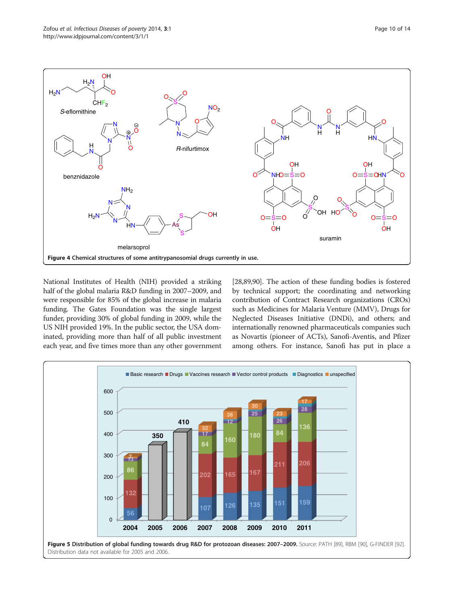<span id="page-9-0"></span>

National Institutes of Health (NIH) provided a striking half of the global malaria R&D funding in 2007–2009, and were responsible for 85% of the global increase in malaria funding. The Gates Foundation was the single largest funder, providing 30% of global funding in 2009, while the US NIH provided 19%. In the public sector, the USA dominated, providing more than half of all public investment each year, and five times more than any other government

[[28](#page-11-0),[89,90\]](#page-13-0). The action of these funding bodies is fostered by technical support; the coordinating and networking contribution of Contract Research organizations (CROs) such as Medicines for Malaria Venture (MMV), Drugs for Neglected Diseases Initiative (DNDi), and others; and internationally renowned pharmaceuticals companies such as Novartis (pioneer of ACTs), Sanofi-Aventis, and Pfizer among others. For instance, Sanofi has put in place a

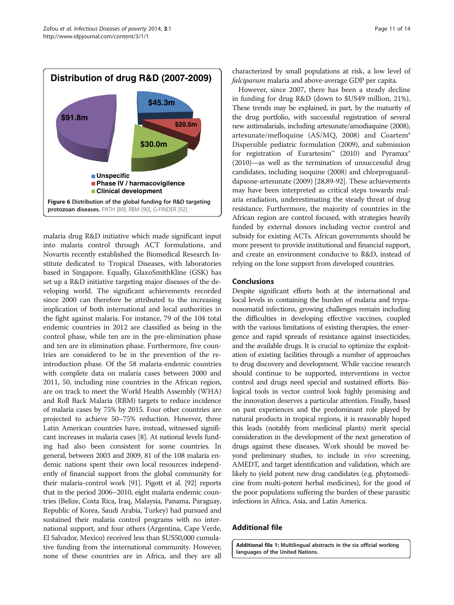<span id="page-10-0"></span>

malaria drug R&D initiative which made significant input into malaria control through ACT formulations, and Novartis recently established the Biomedical Research Institute dedicated to Tropical Diseases, with laboratories based in Singapore. Equally, GlaxoSmithKline (GSK) has set up a R&D initiative targeting major diseases of the developing world. The significant achievements recorded since 2000 can therefore be attributed to the increasing implication of both international and local authorities in the fight against malaria. For instance, 79 of the 104 total endemic countries in 2012 are classified as being in the control phase, while ten are in the pre-elimination phase and ten are in elimination phase. Furthermore, five countries are considered to be in the prevention of the reintroduction phase. Of the 58 malaria-endemic countries with complete data on malaria cases between 2000 and 2011, 50, including nine countries in the African region, are on track to meet the World Health Assembly (WHA) and Roll Back Malaria (RBM) targets to reduce incidence of malaria cases by 75% by 2015. Four other countries are projected to achieve 50–75% reduction. However, three Latin American countries have, instead, witnessed significant increases in malaria cases [\[8\]](#page-11-0). At national levels funding had also been consistent for some countries. In general, between 2003 and 2009, 81 of the 108 malaria endemic nations spent their own local resources independently of financial support from the global community for their malaria-control work [[91](#page-13-0)]. Pigott et al. [\[92](#page-13-0)] reports that in the period 2006–2010, eight malaria endemic countries (Belize, Costa Rica, Iraq, Malaysia, Panama, Paraguay, Republic of Korea, Saudi Arabia, Turkey) had pursued and sustained their malaria control programs with no international support, and four others (Argentina, Cape Verde, El Salvador, Mexico) received less than \$US50,000 cumulative funding from the international community. However, none of these countries are in Africa, and they are all

characterized by small populations at risk, a low level of falciparum malaria and above-average GDP per capita.

However, since 2007, there has been a steady decline in funding for drug R&D (down to \$US49 million, 21%), These trends may be explained, in part, by the maturity of the drug portfolio, with successful registration of several new antimalarials, including artesunate/amodiaquine (2008), artesunate/mefloquine (AS/MQ, 2008) and Coartem® Dispersible pediatric formulation (2009), and submission for registration of Eurartesim<sup>™</sup> (2010) and Pyramax® (2010)—as well as the termination of unsuccessful drug candidates, including isoquine (2008) and chlorproguanildapsone-artesunate (2009) [[28,](#page-11-0)[89](#page-13-0)-[92](#page-13-0)]. These achievements may have been interpreted as critical steps towards malaria eradiation, underestimating the steady threat of drug resistance. Furthermore, the majority of countries in the African region are control focused, with strategies heavily funded by external donors including vector control and subsidy for existing ACTs. African governments should be more present to provide institutional and financial support, and create an environment conducive to R&D, instead of relying on the lone support from developed countries.

#### Conclusions

Despite significant efforts both at the international and local levels in containing the burden of malaria and trypanosomatid infections, growing challenges remain including the difficulties in developing effective vaccines, coupled with the various limitations of existing therapies, the emergence and rapid spreads of resistance against insecticides, and the available drugs. It is crucial to optimize the exploitation of existing facilities through a number of approaches to drug discovery and development. While vaccine research should continue to be supported, interventions in vector control and drugs need special and sustained efforts. Biological tools in vector control look highly promising and the innovation deserves a particular attention. Finally, based on past experiences and the predominant role played by natural products in tropical regions, it is reasonably hoped this leads (notably from medicinal plants) merit special consideration in the development of the next generation of drugs against these diseases. Work should be moved beyond preliminary studies, to include in *vivo* screening, AMEDT, and target identification and validation, which are likely to yield potent new drug candidates (e.g. phytomedicine from multi-potent herbal medicines), for the good of the poor populations suffering the burden of these parasitic infections in Africa, Asia, and Latin America.

#### Additional file

[Additional file 1:](http://www.biomedcentral.com/content/supplementary/2049-9957-3-1-S1.pdf) Multilingual abstracts in the six official working languages of the United Nations.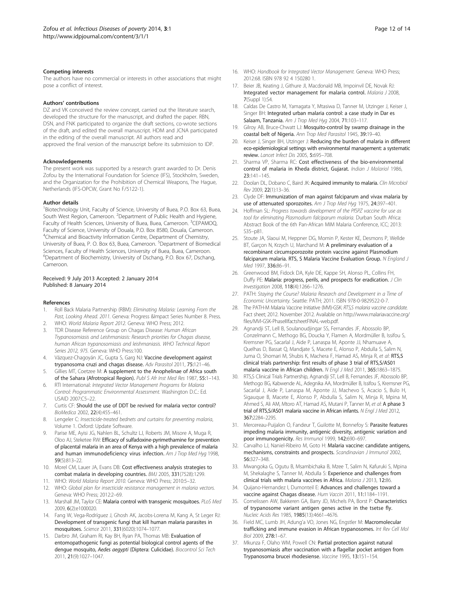#### <span id="page-11-0"></span>Competing interests

The authors have no commercial or interests in other associations that might pose a conflict of interest.

#### Authors' contributions

DZ and VK conceived the review concept, carried out the literature search, developed the structure for the manuscript, and drafted the paper. RBN, DSN, and FNK participated to organize the draft sections, co-wrote sections of the draft, and edited the overall manuscript. HDM and JCNA participated in the editing of the overall manuscript. All authors read and approved the final version of the manuscript before its submission to IDP.

#### Acknowledgements

The present work was supported by a research grant awarded to Dr. Denis Zofou by the International Foundation for Science (IFS), Stockholm, Sweden, and the Organization for the Prohibition of Chemical Weapons, The Hague, Netherlands (IFS-OPCW, Grant No F/5122-1).

#### Author details

<sup>1</sup> Biotechnology Unit, Faculty of Science, University of Buea, P.O. Box 63, Buea, South West Region, Cameroon. <sup>2</sup>Department of Public Health and Hygiene, Faculty of Health Sciences, University of Buea, Buea, Cameroon. <sup>3</sup>CEPAMOQ, Faculty of Science, University of Douala, P.O. Box 8580, Douala, Cameroon. 4 Chemical and Bioactivity Information Centre, Department of Chemistry, University of Buea, P. O. Box 63, Buea, Cameroon. <sup>5</sup> Department of Biomedical Sciences, Faculty of Health Sciences, University of Buea, Buea, Cameroon. 6 Department of Biochemistry, University of Dschang, P.O. Box 67, Dschang, Cameroon.

#### Received: 9 July 2013 Accepted: 2 January 2014 Published: 8 January 2014

#### References

- 1. Roll Back Malaria Partnership (RBM): Eliminating Malaria: Learning From the Past, Looking Ahead. 2011. Geneva: Progress &Impact Series Number 8. Press.
- 2. WHO: World Malaria Report 2012. Geneva: WHO Press; 2012. 3. TDR Disease Reference Group on Chagas Disease: Human African Trypanosomiasis and Leishmaniasis: Research priorities for Chagas disease,
- human African trypanosomiasis and leishmaniasis. WHO Technical Report Series 2012, 975. Geneva: WHO Press:100. 4. Vázquez-Chagoyán JC, Gupta S, Garg NJ: Vaccine development against
- trypanosoma cruzi and chagas disease. Adv Parasitol 2011, 75:121–46.
- 5. Gillies MT, Coetzee M: A supplement to the Anophelinae of Africa south of the Sahara (Afrotropical Region). Publ S Afr Inst Med Res 1987, 55:1–143.
- 6. RTI International: Integrated Vector Management Programs for Malaria Control: Programmatic Environmental Assessment. Washington D.C.: Ed. USAID 2007:C5–22.
- 7. Curtis CF: Should the use of DDT be revived for malaria vector control? BioMedica 2002, 22(4):455–461.
- 8. Lengeler C: Insecticide-treated bednets and curtains for preventing malaria, Volume 1. Oxford: Update Software.
- 9. Parise ME, Ayisi JG, Nahlen BL, Schultz LJ, Roberts JM, Misore A, Muga R, Oloo AJ, Steketee RW: Efficacy of sulfadoxine-pyrimethamine for prevention of placental malaria in an area of Kenya with a high prevalence of malaria and human immunodeficiency virus infection. Am J Trop Med Hyg 1998, 59(5):813–22.
- 10. Morel CM, Lauer JA, Evans DB: Cost effectiveness analysis strategies to combat malaria in developing countries. BMJ 2005, 331(7528):1299.
- 11. WHO: World Malaria Report 2010. Geneva: WHO Press; 2010:5–32.
- 12. WHO: Global plan for insecticide resistance management in malaria vectors. Geneva: WHO Press; 2012:2–69.
- 13. Marshall JM, Taylor CE: Malaria control with transgenic mosquitoes. PLoS Med 2009, 6(2):e1000020.
- 14. Fang W, Vega-Rodríguez J, Ghosh AK, Jacobs-Lorena M, Kang A, St Leger RJ: Development of transgenic fungi that kill human malaria parasites in mosquitoes. Science 2011, 331(6020):1074–1077.
- 15. Darbro JM, Graham RI, Kay BH, Ryan PA, Thomas MB: Evaluation of entomopathogenic fungi as potential biological control agents of the dengue mosquito, Aedes aegypti (Diptera: Culicidae). Biocontrol Sci Tech 2011, 21(9):1027–1047.
- 16. WHO: Handbook for Integrated Vector Management. Geneva: WHO Press; 2012:68. ISBN 978 92 4 150280 1.
- 17. Beier JB, Keating J, Githure JI, Macdonald MB, Impoinvil DE, Novak RJ: Integrated vector management for malaria control. Malaria J 2008, 7(Suppl 1):S4.
- 18. Caldas De Castro M, Yamagata Y, Mtasiwa D, Tanner M, Utzinger J, Keiser J, Singer BH: Integrated urban malaria control: a case study in Dar es Salaam, Tanzania. Am J Trop Med Hyg 2004, 71:103-117.
- 19. Gilroy AB, Bruce-Chwatt LJ: Mosquito-control by swamp drainage in the coastal belt of Nigeria. Ann Trop Med Parasitol 1945, 39:19–40.
- 20. Keiser J, Singer BH, Utzinger J: Reducing the burden of malaria in different eco-epidemiological settings with environmental management: a systematic review. Lancet Infect Dis 2005, 5:695–708.
- 21. Sharma VP, Sharma RC: Cost effectiveness of the bio-environmental control of malaria in Kheda district, Gujarat. Indian J Malariol 1986, 23:141–145.
- 22. Doolan DL, Dobano C, Baird JK: Acquired immunity to malaria. Clin Microbiol Rev 2009, 22(1):13–36.
- 23. Clyde DF: Immunization of man against falciparum and vivax malaria by use of attenuated sporozoites. Am J Trop Med Hyg 1975, 24:397-401.
- 24. Hoffman SL: Progress towards development of the PfSPZ vaccine for use as tool for eliminating Plasmodium falciparum malaria. Durban South Africa: Abstract Book of the 6th Pan-African MIM Malaria Conference, ICC; 2013: S35–p81.
- 25. Stoute JA, Slaoui M, Heppner DG, Momin P, Kester KE, Desmons P, Wellde BT, Garçon N, Krzych U, Marchand M: A preliminary evaluation of a recombinant circumsporozoite protein vaccine against Plasmodium falciparum malaria. RTS, S Malaria Vaccine Evaluation Group. N England J Med 1997, 336:86–91.
- 26. Greenwood BM, Fidock DA, Kyle DE, Kappe SH, Alonso PL, Collins FH, Duffy PE: Malaria: progress, perils, and prospects for eradication. J Clin Investigation 2008, 118(4):1266–1276.
- 27. PATH: Staying the Course? Malaria Research and Development in a Time of Economic Uncertainty. Seattle: PATH; 2011. ISBN 978-0-9829522-0-7.
- 28. The PATH-M Malaria Vaccine Initiative (MVI)-GSK: RTS,S malaria vaccine candidate. Fact sheet; 2012. November 2012. Available on [http://www.malariavaccine.org/](http://www.malariavaccine.org/files/MVI-GSK-PhaseIIIfactsheetFINAL-web.pdf) [files/MVI-GSK-PhaseIIIfactsheetFINAL-web.pdf](http://www.malariavaccine.org/files/MVI-GSK-PhaseIIIfactsheetFINAL-web.pdf).
- 29. Agnandji ST, Lell B, Soulanoudjingar SS, Fernandes JF, Abossolo BP, Conzelmann C, Methogo BG, Doucka Y, Flamen A, Mordmüller B, Issifou S, Kremsner PG, Sacarlal J, Aide P, Lanaspa M, Aponte JJ, Nhamuave A, Quelhas D, Bassat Q, Mandjate S, Macete E, Alonso P, Abdulla S, Salim N, Juma O, Shomari M, Shubis K, Machera F, Hamad AS, Minja R, et al: RTS,S clinical trials partnership: first results of phase 3 trial of RTS,S/AS01 malaria vaccine in African children. N Engl J Med 2011, 365:1863–1875.
- 30. RTS,S Clinical Trials Partnership, Agnandji ST, Lell B, Fernandes JF, Abossolo BP, Methogo BG, Kabwende AL, Adegnika AA, Mordmüller B, Issifou S, Kremsner PG, Sacarlal J, Aide P, Lanaspa M, Aponte JJ, Machevo S, Acacio S, Bulo H, Sigauque B, Macete E, Alonso P, Abdulla S, Salim N, Minja R, Mpina M, Ahmed S, Ali AM, Mtoro AT, Hamad AS, Mutani P, Tanner M, et al: A phase 3 trial of RTS, S/AS01 malaria vaccine in African infants. N Engl J Med 2012, 367:2284–2295.
- 31. Mercereau-Puijalon O, Fandeur T, Guilotte M, Bonnefoy S: Parasite features impeding malaria immunity, antigenic diversity, antigenic variation and poor immunogenicity. Res Immunol 1999, 142:690-697.
- 32. Carvalho LJ, Naniel-Ribeiro M, Goto H: Malaria vaccine: candidate antigens, mechanisms, constraints and prospects. Scandinavian J Immunol 2002, 56:327–348.
- 33. Mwangoka G, Ogutu B, Msambichaka B, Mzee T, Salim N, Kafuruki S, Mpina M, Shekalaghe S, Tanner M, Abdulla S: Experience and challenges from clinical trials with malaria vaccines in Africa. Malaria J 2013, 12:86.
- Quijano-Hernandez I, Dumonteil E: Advances and challenges toward a vaccine against Chagas disease. Hum Vaccin 2011, 11:1184–1191.
- 35. Cornelissen AW, Bakkeren GA, Barry JD, Michels PA, Borst P: Characteristics of trypanosome variant antigen genes active in the tsetse fly. Nucleic Acids Res 1985, 1985(13):4661–4676.
- 36. Field MC, Lumb JH, Adung'a VO, Jones NG, Engstler M: Macromolecular trafficking and immune evasion in African trypanosomes. Int Rev Cell Mol Biol 2009, 278:1–67.
- 37. Mkunza F, Olaho WM, Powell CN: Partial protection against natural trypanosomiasis after vaccination with a flagellar pocket antigen from Trypanosoma brucei rhodesiense. Vaccine 1995, 13:151–154.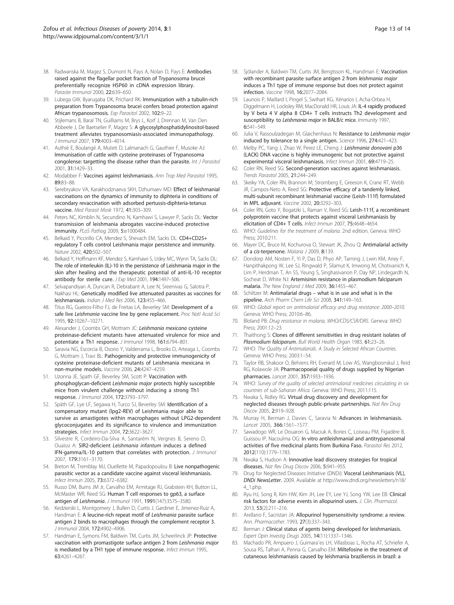- <span id="page-12-0"></span>38. Radwanska M, Magez S, Dumont N, Pays A, Nolan D, Pays E: Antibodies raised against the flagellar pocket fraction of Trypanosoma brucei preferentially recognize HSP60 in cDNA expression library. Parasite Immunol 2000, 22:639–650.
- 39. Lubega GW, Byarugaba DK, Prichard RK: Immunization with a tubulin-rich preparation from Trypanosoma brucei confers broad protection against African trypanosomosis. Exp Parasitol 2002, 102:9–22.
- 40. Stijlemans B, Baral TN, Guilliams M, Brys L, Korf J, Drennan M, Van Den Abbeele J, De Baetselier P, Magez S: A glycosylphosphatidylinositol-based treatment alleviates trypanosomiasis-associated immunopathology. J Immunol 2007, 179:4003–4014.
- 41. Authié E, Boulangé A, Muteti D, Lalmanach G, Gauthier F, Musoke AJ: Immunisation of cattle with cysteine proteinases of Trypanosoma congolense: targetting the disease rather than the parasite. Int J Parasitol 2001, 31:1429–33.
- 42. Modabber F: Vaccines against leishmaniasis. Ann Trop Med Parasitol 1995, 89:83–88.
- 43. Serebryakov VA, Karakhodznaeva SKH, Dzhumaev MD: Effect of leishmanial vaccinations on the dynamics of immunity to diphteria in conditions of secondary revaccination with adsorbed pertussis-diphteria-tetanus vaccine. Med Parasit Mosk 1972, 41:303–309.
- 44. Peters NC, Kimblin N, Secundino N, Kamhawi S, Lawyer P, Sacks DL: Vector transmission of leishmania abrogates vaccine-induced protective immunity. PLoS Pathog 2009, 5:e1000484.
- 45. Belkaid Y, Piccirillo CA, Mendez S, Shevach EM, Sacks DL: CD4+CD25+ regulatory T cells control Leishmania major persistence and immunity. Nature 2002, 420:502–507.
- 46. Belkaid Y, Hoffmann KF, Mendez S, Kamhawi S, Udey MC, Wynn TA, Sacks DL: The role of interleukin (IL)-10 in the persistence of Leishmania major in the skin after healing and the therapeutic potential of anti-IL-10 receptor antibody for sterile cure. J Exp Med 2001, 194:1497-506.
- 47. Selvapandiyan A, Duncan R, Debrabant A, Lee N, Sreenivas G, Salotra P, Nakhasi HL: Genetically modified live attenuated parasites as vaccines for leishmaniasis. Indian J Med Res 2006, 123:455-466.
- 48. Titus RG, Gueiros-Filho FJ, de Freitas LA, Beverley SM: Development of a safe live Leishmania vaccine line by gene replacement. Proc Natl Acad Sci 1995, 92:10267–10271.
- 49. Alexander J, Coombs GH, Mottram JC: Leishmania mexicana cysteine proteinase-deficient mutants have attenuated virulence for mice and potentiate a Th1 response. J Immunol 1998, 161:6794-801.
- Saravia NG, Escorcia B, Osorio Y, Valderrama L, Brooks D, Arteaga L, Coombs G, Mottram J, Travi BL: Pathogenicity and protective immunogenicity of cysteine proteinase-deficient mutants of Leishmania mexicana in non-murine models. Vaccine 2006, 24:4247–4259.
- 51. Uzonna JE, Spath GF, Beverley SM, Scott P: Vaccination with phosphoglycan-deficient Leishmania major protects highly susceptible mice from virulent challenge without inducing a strong Th1 response. J Immunol 2004, 172:3793–3797.
- 52. Späth GF, Lye LF, Segawa H, Turco SJ, Beverley SM: Identification of a compensatory mutant (lpg2-REV) of Leishmania major able to survive as amastigotes within macrophages without LPG2-dependent glycoconjugates and its significance to virulence and immunization strategies. Infect Immun 2004, 72:3622–3627.
- 53. Silvestre R, Cordeiro-Da-Silva A, Santarém N, Vergnes B, Sereno D, Ouaissi A: SIR2-deficient Leishmania infantum induces a defined IFN-gamma/IL-10 pattern that correlates with protection. J Immunol 2007, 179:3161–3170.
- 54. Breton M, Tremblay MJ, Ouellette M, Papadopoulou B: Live nonpathogenic parasitic vector as a candidate vaccine against visceral leishmaniasis. Infect Immun 2005, 73:6372–6382.
- 55. Russo DM, Burns JM Jr, Carvalho EM, Armitage RJ, Grabstein KH, Button LL, McMaster WR, Reed SG: Human T cell responses to gp63, a surface antigen of Leishmania. J Immunol 1991, 1991(147):3575–3580.
- 56. Kedzierski L, Montgomery J, Bullen D, Curtis J, Gardiner E, Jimenez-Ruiz A, Handman E: A leucine-rich repeat motif of Leishmania parasite surface antigen 2 binds to macrophages through the complement receptor 3. J Immunol 2004, 172:4902–4906.
- 57. Handman E, Symons FM, Baldwin TM, Curtis JM, Scheerlinck JP: Protective vaccination with promastigote surface antigen 2 from Leishmania major is mediated by a TH1 type of immune response. Infect Immun 1995, 63:4261–4267.
- 58. Sjölander A, Baldwin TM, Curtis JM, Bengtsson KL, Handman E: Vaccination with recombinant parasite surface antigen 2 from leishmania major induces a Th1 type of immune response but does not protect against infection. Vaccine 1998, 16:2077–2084.
- 59. Launois P, Maillard I, Pingel S, Swihart KG, Xénarios I, Acha-Orbea H, Diggelmann H, Locksley RM, MacDonald HR, Louis JA: IL-4 rapidly produced by V beta 4 V alpha 8 CD4+ T cells instructs Th2 development and susceptibility to Leishmania major in BALB/c mice. Immunity 1997, 6:541–549.
- 60. Julia V, Rassoulzadegan M, Glaichenhaus N: Resistance to Leishmania major induced by tolerance to a single antigen. Science 1996, 274:421–423.
- 61. Melby PC, Yang J, Zhao W, Perez LE, Cheng J: Leishmania donovani p36 (LACK) DNA vaccine is highly immunogenic but not protective against experimental visceral leishmaniasis. Infect Immun 2001, 69:4719–25.
- 62. Coler RN, Reed SG: Second-generation vaccines against leishmaniasis. Trends Parasitol 2005, 21:244–249.
- 63. Skeiky YA, Coler RN, Brannon M, Stromberg E, Greeson K, Crane RT, Webb JR, Campos-Neto A, Reed SG: Protective efficacy of a tandemly linked, multi-subunit recombinant leishmanial vaccine (Leish-111f) formulated in MPL adjuvant. Vaccine 2002, 20:3292–303.
- 64. Coler RN, Goto Y, Bogatzki L, Raman V, Reed SG: Leish-111f, a recombinant polyprotein vaccine that protects against visceral Leishmaniasis by elicitation of CD4+ T cells. Infect Immun 2007, 75:4648–4654.
- 65. WHO: Guidelines for the treatment of malaria. 2nd edition. Geneva: WHO Press; 2010:211.
- 66. Mayer DC, Bruce M, Kochurova O, Stewart JK, Zhou Q: Antimalarial activity of a cis-terpenone. Malaria J 2009, 8:139.
- 67. Dondorp AM, Nosten F, Yi P, Das D, Phyo AP, Tarning J, Lwin KM, Ariey F, Hanpithakpong W, Lee SJ, Ringwald P, Silamut K, Imwong M, Chotivanich K, Lim P, Herdman T, An SS, Yeung S, Singhasivanon P, Day NP, Lindegardh N, Socheat D, White NJ: Artemisinin resistance in plasmodium falciparum malaria. The New England J Med 2009, 36:1455-467.
- 68. Schiltzer M: Antimalarial drugs what is in use and what is in the pipeline. Arch Pharm Chem Life Sci 2008, 341:149–163.
- 69. WHO: Global report on antimalarial efficacy and drug resistance: 2000–2010. Geneva: WHO Press; 2010:6–86.
- 70. Bloland PB: Drug resistance in malaria, WHO/CDS/CSR/DRS. Geneva: WHO Press; 2001:12–23.
- 71. Thaithong S: Clones of different sensitivities in drug resistant isolates of Plasmodium falciparum. Bull World Health Organ 1983, 61:23-26.
- 72. WHO: The Quality of Antimalarials. A Study in Selected African Countries. Geneva: WHO Press; 2003:1–54.
- 73. Taylor RB, Shakoor O, Behrens RH, Everard M, Low AS, Wangboonskul J, Reid RG, Kolawole JA: Pharmacopoeial quality of drugs supplied by Nigerian pharmacies. Lancet 2001, 357:1933–1936.
- 74. WHO: Survey of the quality of selected antimalarial medicines circulating in six countries of sub-Saharan Africa. Geneva: WHO Press; 2011:115.
- 75. Nwaka S, Ridley RG: Virtual drug discovery and development for neglected diseases through public-private partnerships. Nat Rev Drug Discov 2005, 2:919–928.
- 76. Murray H, Berman J, Davies C, Saravia N: Advances in leishmaniasis. Lancet 2005, 366:1561–1577.
- 77. Sawadogo WR, Le Douaron G, Maciuk A, Bories C, Loiseau PM, Figadère B, Guissou IP, Nacoulma OG: In vitro antileishmanial and antitrypanosomal activities of five medicinal plants from Burkina Faso. Parasitol Res 2012, 2012(110):1779–1783.
- Nwaka S, Hudson A: Innovative lead discovery strategies for tropical diseases. Nat Rev Drug Discov 2006, 5:941-955.
- 79. Drug for Neglected Diseases Initiative (DNDi): Visceral Leishmaniasis (VL), DNDi NewsLetter. 2009. Available at [http://www.dndi.org/newsletters/n18/](http://www.dndi.org/newsletters/n18/4_1.php) [4\\_1.php.](http://www.dndi.org/newsletters/n18/4_1.php)
- 80. Ryu HJ, Song R, Kim HW, Kim JH, Lee EY, Lee YJ, Song YW, Lee EB: Clinical risk factors for adverse events in allopurinol users. J. Clin. Pharmacol. 2013, 53(2):211–216.
- 81. Arellano F, Sacristan JA: Allopurinol hypersensitivity syndrome: a review. Ann. Pharmacother. 1993, 27(3):337–343.
- 82. Berman J: Clinical status of agents being developed for leishmaniasis. Expert Opin Investig Drugs 2005, 14(11):1337–1346.
- 83. Machado PR, Ampuero J, Guimara<sup>™</sup>es LH, Villasboas L, Rocha AT, Schriefer A, Sousa RS, Talhari A, Penna G, Carvalho EM: Miltefosine in the treatment of cutaneous leishmaniasis caused by leishmania braziliensis in brazil: a